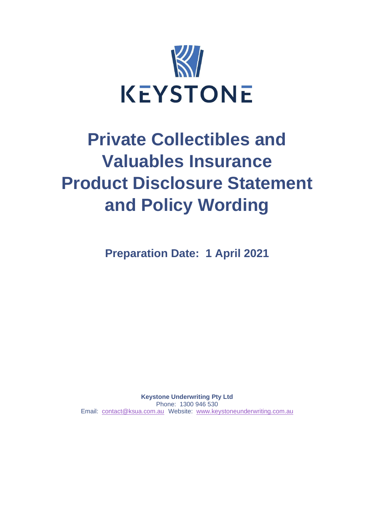

# **Private Collectibles and Valuables Insurance Product Disclosure Statement and Policy Wording**

**Preparation Date: 1 April 2021**

**Keystone Underwriting Pty Ltd** Phone: 1300 946 530 Email: [contact@ksua.com.au](mailto:contact@ksua.com.au) Website: [www.keystoneunderwriting.com.au](http://www.keystoneunderwriting.com.au/)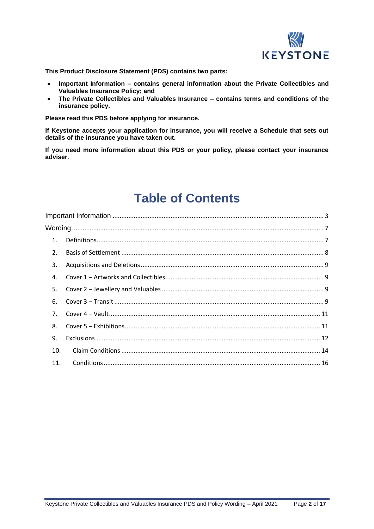

**This Product Disclosure Statement (PDS) contains two parts:**

- **Important Information – contains general information about the Private Collectibles and Valuables Insurance Policy; and**
- **The Private Collectibles and Valuables Insurance – contains terms and conditions of the insurance policy.**

**Please read this PDS before applying for insurance.**

**If Keystone accepts your application for insurance, you will receive a Schedule that sets out details of the insurance you have taken out.**

**If you need more information about this PDS or your policy, please contact your insurance adviser.**

# **Table of Contents**

| 1.             |  |
|----------------|--|
| 2.             |  |
| 3.             |  |
| 4.             |  |
| 5.             |  |
| 6.             |  |
| 7 <sub>1</sub> |  |
| 8.             |  |
| 9.             |  |
| 10.            |  |
| 11.            |  |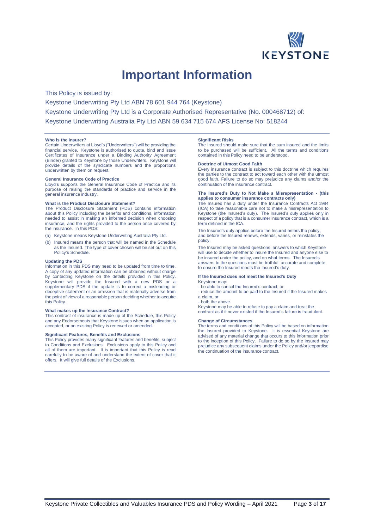

# **Important Information**

<span id="page-2-0"></span>This Policy is issued by:

Keystone Underwriting Pty Ltd ABN 78 601 944 764 (Keystone)

Keystone Underwriting Pty Ltd is a Corporate Authorised Representative (No. 000468712) of:

Keystone Underwriting Australia Pty Ltd ABN 59 634 715 674 AFS License No: 518244

#### **Who is the Insurer?**

Certain Underwriters at Lloyd's ("Underwriters") will be providing the financial service. Keystone is authorised to quote, bind and issue Certificates of Insurance under a Binding Authority Agreement (Binder) granted to Keystone by those Underwriters. Keystone will provide details of the syndicate numbers and the proportions underwritten by them on request.

#### **General Insurance Code of Practice**

Lloyd's supports the General Insurance Code of Practice and its purpose of raising the standards of practice and service in the general insurance industry.

#### **What is the Product Disclosure Statement?**

The Product Disclosure Statement (PDS) contains information about this Policy including the benefits and conditions, information needed to assist in making an informed decision when choosing insurance, and the rights provided to the person once covered by the insurance. In this PDS:

- (a) Keystone means Keystone Underwriting Australia Pty Ltd.
- (b) Insured means the person that will be named in the Schedule as the Insured. The type of cover chosen will be set out on this Policy's Schedule.

#### **Updating the PDS**

Information in this PDS may need to be updated from time to time. A copy of any updated information can be obtained without charge by contacting Keystone on the details provided in this Policy. Keystone will provide the Insured with a new PDS or a supplementary PDS if the update is to correct a misleading or deceptive statement or an omission that is materially adverse from the point of view of a reasonable person deciding whether to acquire this Policy.

#### **What makes up the Insurance Contract?**

This contract of insurance is made up of the Schedule, this Policy and any Endorsements that Keystone issues when an application is accepted, or an existing Policy is renewed or amended.

#### **Significant Features, Benefits and Exclusions**

This Policy provides many significant features and benefits, subject to Conditions and Exclusions. Exclusions apply to this Policy and all of them are important. It is important that this Policy is read carefully to be aware of and understand the extent of cover that it offers. It will give full details of the Exclusions.

#### **Significant Risks**

The Insured should make sure that the sum insured and the limits to be purchased will be sufficient. All the terms and conditions contained in this Policy need to be understood.

#### **Doctrine of Utmost Good Faith**

Every insurance contract is subject to this doctrine which requires the parties to the contract to act toward each other with the utmost good faith. Failure to do so may prejudice any claims and/or the continuation of the insurance contract.

#### **The Insured's Duty to Not Make a Misrepresentation - (this applies to consumer insurance contracts only)**

The Insured has a duty under the Insurance Contracts Act 1984 (ICA) to take reasonable care not to make a misrepresentation to Keystone (the Insured's duty). The Insured's duty applies only in respect of a policy that is a consumer insurance contract, which is a term defined in the ICA.

The Insured's duty applies before the Insured enters the policy, and before the Insured renews, extends, varies, or reinstates the policy.

The Insured may be asked questions, answers to which Keystone will use to decide whether to insure the Insured and anyone else to be insured under the policy, and on what terms. The Insured's answers to the questions must be truthful, accurate and complete to ensure the Insured meets the Insured's duty.

## **If the Insured does not meet the Insured's Duty**

Keystone may:

- be able to cancel the Insured's contract, or - reduce the amount to be paid to the Insured if the Insured makes a claim, or

#### - both the above.

Keystone may be able to refuse to pay a claim and treat the contract as if it never existed if the Insured's failure is fraudulent.

#### **Change of Circumstances**

The terms and conditions of this Policy will be based on information the Insured provided to Keystone. It is essential Keystone are advised of any material change that occurs to this information prior to the inception of this Policy. Failure to do so by the Insured may prejudice any subsequent claims under the Policy and/or jeopardise the continuation of the insurance contract.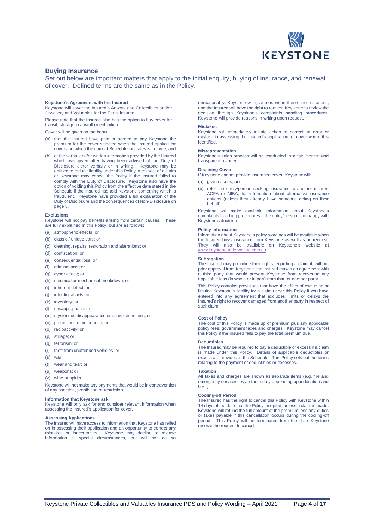

### **Buying Insurance**

Set out below are important matters that apply to the initial enquiry, buying of insurance, and renewal of cover. Defined terms are the same as in the Policy.

#### **Keystone's Agreement with the Insured**

Keystone will cover the Insured's Artwork and Collectibles and/or Jewellery and Valuables for the Perils Insured.

Please note that the Insured also has the option to buy cover for transit, storage in a vault or exhibition.

Cover will be given on the basis:

- (a) that the Insured have paid or agreed to pay Keystone the premium for the cover selected when the Insured applied for cover and which the current Schedule indicates is in force; and
- (b) of the verbal and/or written information provided by the Insured which was given after having been advised of the Duty of Disclosure either verbally or in writing. Keystone may be entitled to reduce liability under this Policy in respect of a claim or Keystone may cancel the Policy if the Insured failed to comply with the Duty of Disclosure. Keystone also have the option of voiding this Policy from the effective date stated in the Schedule if the Insured has told Keystone something which is fraudulent. Keystone have provided a full explanation of the Duty of Disclosure and the consequences of Non-Disclosure on page 3.

#### **Exclusions**

Keystone will not pay benefits arising from certain causes. These are fully explained in this Policy, but are as follows:

- (a) atmospheric effects; or
- (b) classic / unique cars; or
- (c) cleaning, repairs, restoration and alterations; or
- (d) confiscation; or
- (e) consequential loss: or
- (f) criminal acts; or
- (g) cyber attack; or
- (h) electrical or mechanical breakdown; or
- (i) inherent defect; or
- (j) intentional acts; or
- (k) inventory; or
- (l) misappropriation; or
- (m) mysterious disappearance or unexplained loss; or
- (n) protections maintenance; or
- (o) radioactivity; or
- (p) stillage; or
- (q) terrorism; or
- (r) theft from unattended vehicles; or
- (s) war
- (t) wear and tear; or
- (u) weapons; or
- (v) wine or spirits.

Keystone will not make any payments that would be in contravention of any sanction, prohibition or restriction.

#### **Information that Keystone ask**

Keystone will only ask for and consider relevant information when assessing the Insured's application for cover.

#### **Assessing Applications**

The Insured will have access to information that Keystone has relied on in assessing their application and an opportunity to correct any mistakes or inaccuracies. Keystone may decline to release information in special circumstances, but will not do so unreasonably. Keystone will give reasons in these circumstances, and the Insured will have the right to request Keystone to review the decision through Keystone's complaints handling procedures. Keystone will provide reasons in writing upon request.

#### **Mistakes**

Keystone will immediately initiate action to correct an error or mistake in assessing the Insured's application for cover where it is identified.

#### **Misrepresentation**

Keystone's sales process will be conducted in a fair, honest and transparent manner.

#### **Declining Cover**

If Keystone cannot provide insurance cover, Keystonewill:

- (a) give reasons; and
- (b) refer the entity/person seeking insurance to another insurer, ACFA or NIBA, for information about alternative insurance options (unless they already have someone acting on their behalf).

Keystone will make available information about Keystone's complaints handling procedures if the entity/person is unhappy with Keystone's decision.

#### **Policy Information**

Information about Keystone's policy wordings will be available when the Insured buys insurance from Keystone as well as on request. They will also be available on Keystone's website at [www.keystoneunderwriting.com.au.](http://www.keystoneunderwriting.com.au/)

#### **Subrogation**

The Insured may prejudice their rights regarding a claim if, without prior approval from Keystone, the Insured makes an agreement with a third party that would prevent Keystone from recovering any applicable loss (in whole or in part) from that, or another party.

This Policy contains provisions that have the effect of excluding or limiting Keystone's liability for a claim under this Policy if you have entered into any agreement that excludes, limits or delays the Insured's right to recover damages from another party in respect of such claim.

#### **Cost of Policy**

The cost of this Policy is made up of premium plus any applicable policy fees, government taxes and charges. Keystone may cancel this Policy if the Insured fails to pay the total premium due.

#### **Deductibles**

The Insured may be required to pay a deductible or excess if a claim is made under this Policy. Details of applicable deductibles or excess are provided in the Schedule. This Policy sets out the terms relating to the payment of deductibles or excesses.

#### **Taxation**

All taxes and charges are shown as separate items (e.g. fire and emergency services levy, stamp duty depending upon location and GST).

#### **Cooling-off Period**

The Insured has the right to cancel this Policy with Keystone within 14 days of the date that the Policy incepted, unless a claim is made. Keystone will refund the full amount of the premium less any duties or taxes payable if this cancellation occurs during the cooling-off period. This Policy will be terminated from the date Keystone receive the request to cancel.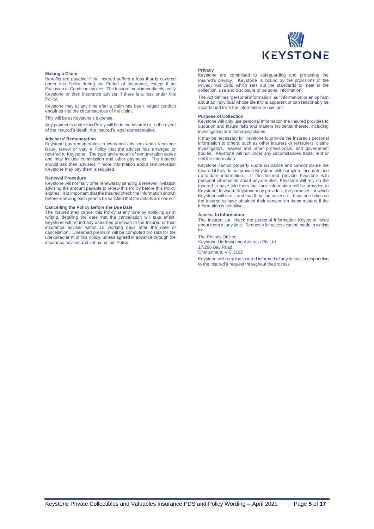

#### **Making a Claim**

Benefits are payable if the Insured suffers a loss that is covered under this Policy during the Period of Insurance, except if an Exclusion or Condition applies. The Insured must immediately notify Keystone or their insurance adviser if there is a loss under this Policy.

Keystone may at any time after a claim has been lodged conduct enquiries into the circumstances of the claim.

This will be at Keystone's expense.

Any payments under this Policy will be to the Insured or, in the event of the Insured's death, the Insured's legal representative.

#### **Advisers' Remuneration**

Keystone pay remuneration to insurance advisers when Keystone issue, renew or vary a Policy that the adviser has arranged or referred to Keystone. The type and amount of remuneration varies and may include commission and other payments. The Insured should ask their advisers if more information about remuneration Keystone may pay them is required.

#### **Renewal Procedure**

Keystone will normally offer renewal by sending a renewal invitation advising the amount payable to renew this Policy before this Policy expires. It is important that the Insured check the information shown before renewing each year to be satisfied that the details are correct.

#### **Cancelling the Policy Before the Due Date**

The Insured may cancel this Policy at any time by notifying us in writing, detailing the date that the cancellation will take effect. Keystone will refund any unearned premium to the Insured or their insurance adviser within 15 working days after the date of cancellation. Unearned premium will be computed pro rata for the unexpired term of this Policy, unless agreed in advance through the insurance adviser and set out in this Policy.

#### **Privacy**

Keystone are committed to safeguarding and protecting the Insured's privacy. Keystone is bound by the provisions of the *Privacy Act 1988* which sets out the standards to meet in the collection, use and disclosure of personal information.

The Act defines "personal information" as "information or an opinion about an individual whose identity is apparent or can reasonably be ascertained from the information or opinion".

#### **Purpose of Collection**

Keystone will only use personal information the Insured provides to quote on and insure risks and matters incidental thereto, including investigating and managing claims.

It may be necessary for Keystone to provide the Insured's personal information to others, such as other insurers or reinsurers, claims investigators, lawyers and other professionals, and government bodies. Keystone will not under any circumstances trade, rent or sell the information.

Keystone cannot properly quote insurance and cannot insure the Insured if they do not provide Keystone with complete, accurate and up-to-date information. If the Insured provide Keystone with personal information about anyone else, Keystone will rely on the Insured to have told them that their information will be provided to Keystone, to whom Keystone may provide it, the purposes for which Keystone will use it and that they can access it. Keystone relies on the Insured to have obtained their consent on these matters if the information is sensitive.

#### **Access to Information**

The Insured can check the personal information Keystone holds about them at any time. Requests for access can be made in writing to:

#### The Privacy Officer

Keystone Underwriting Australia Pty Ltd 17/296 Bay Road Cheltenham, VIC 3192

Keystone will keep the Insured informed of any delays in responding to the Insured's request throughout theprocess.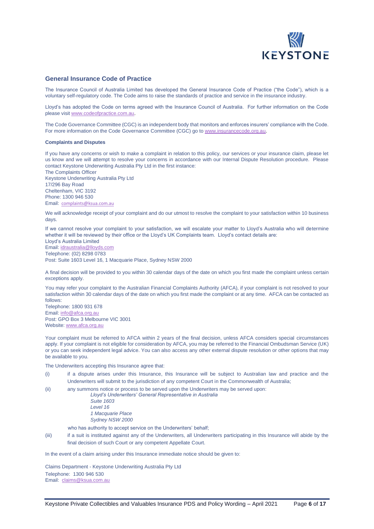

### **General Insurance Code of Practice**

The Insurance Council of Australia Limited has developed the General Insurance Code of Practice ("the Code"), which is a voluntary self-regulatory code. The Code aims to raise the standards of practice and service in the insurance industry.

Lloyd's has adopted the Code on terms agreed with the Insurance Council of Australia. For further information on the Code please visit [www.codeofpractice.com.au.](https://urldefense.proofpoint.com/v2/url?u=http-3A__www.codeofpractice.com.au&d=DwMFAg&c=ZnH9XQkNJ63hboBolvM4BvMHpqa6cbGvlWggJ5lnW8w&r=iXadECH1cSW41dbCGrm9bTjGoX5Qe5OShsuNZnzk99Q&m=vuqWIRW974ACcDkF_T8B91F40o0XlpksAS_dnh3DPNQ&s=DJTZIATYxEvrumnxo-XIfq89mdukcNeelXGnds7jTs4&e=) 

The Code Governance Committee (CGC) is an independent body that monitors and enforces insurers' compliance with the Code. For more information on the Code Governance Committee (CGC) go to [www.insurancecode.org.au.](http://www.insurancecode.org.au/)

#### **Complaints and Disputes**

Email: [complaints@ksua.com.au](mailto:complaints@ksua.com.au)

If you have any concerns or wish to make a complaint in relation to this policy, our services or your insurance claim, please let us know and we will attempt to resolve your concerns in accordance with our Internal Dispute Resolution procedure. Please contact Keystone Underwriting Australia Pty Ltd in the first instance: The Complaints Officer Keystone Underwriting Australia Pty Ltd 17/296 Bay Road Cheltenham, VIC 3192 Phone: 1300 946 530

We will acknowledge receipt of your complaint and do our utmost to resolve the complaint to your satisfaction within 10 business days.

If we cannot resolve your complaint to your satisfaction, we will escalate your matter to Lloyd's Australia who will determine whether it will be reviewed by their office or the Lloyd's UK Complaints team. Lloyd's contact details are:

Lloyd's Australia Limited Email: [idraustralia@lloyds.com](mailto:idraustralia@lloyds.com) Telephone: (02) 8298 0783 Post: Suite 1603 Level 16, 1 Macquarie Place, Sydney NSW 2000

A final decision will be provided to you within 30 calendar days of the date on which you first made the complaint unless certain exceptions apply.

You may refer your complaint to the Australian Financial Complaints Authority (AFCA), if your complaint is not resolved to your satisfaction within 30 calendar days of the date on which you first made the complaint or at any time. AFCA can be contacted as follows: Telephone: 1800 931 678

Email: [info@afca.org.au](mailto:info@afca.org.au) Post: GPO Box 3 Melbourne VIC 3001 Website: [www.afca.org.au](http://www.afca.org.au/)

Your complaint must be referred to AFCA within 2 years of the final decision, unless AFCA considers special circumstances apply. If your complaint is not eligible for consideration by AFCA, you may be referred to the Financial Ombudsman Service (UK) or you can seek independent legal advice. You can also access any other external dispute resolution or other options that may be available to you.

The Underwriters accepting this Insurance agree that:

- (i) if a dispute arises under this Insurance, this Insurance will be subject to Australian law and practice and the Underwriters will submit to the jurisdiction of any competent Court in the Commonwealth of Australia;
- (ii) any summons notice or process to be served upon the Underwriters may be served upon:

*Lloyd's Underwriters' General Representative in Australia Suite 1603 Level 16 1 Macquarie Place Sydney NSW 2000*

who has authority to accept service on the Underwriters' behalf;

(iii) if a suit is instituted against any of the Underwriters, all Underwriters participating in this Insurance will abide by the final decision of such Court or any competent Appellate Court.

In the event of a claim arising under this Insurance immediate notice should be given to:

Claims Department - Keystone Underwriting Australia Pty Ltd Telephone: 1300 946 530 Email: [claims@ksua.com.au](mailto:claims@ksua.com.au)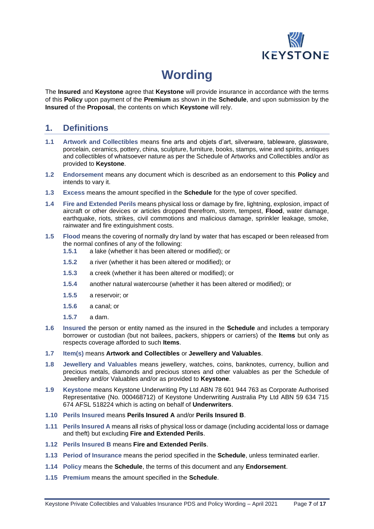

# **Wording**

<span id="page-6-0"></span>The **Insured** and **Keystone** agree that **Keystone** will provide insurance in accordance with the terms of this **Policy** upon payment of the **Premium** as shown in the **Schedule**, and upon submission by the **Insured** of the **Proposal**, the contents on which **Keystone** will rely.

# <span id="page-6-1"></span>**1. Definitions**

- **1.1 Artwork and Collectibles** means fine arts and objets d'art, silverware, tableware, glassware, porcelain, ceramics, pottery, china, sculpture, furniture, books, stamps, wine and spirits, antiques and collectibles of whatsoever nature as per the Schedule of Artworks and Collectibles and/or as provided to **Keystone**.
- **1.2 Endorsement** means any document which is described as an endorsement to this **Policy** and intends to vary it.
- **1.3 Excess** means the amount specified in the **Schedule** for the type of cover specified.
- **1.4 Fire and Extended Perils** means physical loss or damage by fire, lightning, explosion, impact of aircraft or other devices or articles dropped therefrom, storm, tempest, **Flood**, water damage, earthquake, riots, strikes, civil commotions and malicious damage, sprinkler leakage, smoke, rainwater and fire extinguishment costs.
- **1.5 Flood** means the covering of normally dry land by water that has escaped or been released from the normal confines of any of the following:
	- **1.5.1** a lake (whether it has been altered or modified); or
	- **1.5.2** a river (whether it has been altered or modified); or
	- **1.5.3** a creek (whether it has been altered or modified); or
	- **1.5.4** another natural watercourse (whether it has been altered or modified); or
	- **1.5.5** a reservoir; or
	- **1.5.6** a canal; or
	- **1.5.7** a dam.
- **1.6 Insured** the person or entity named as the insured in the **Schedule** and includes a temporary borrower or custodian (but not bailees, packers, shippers or carriers) of the **Items** but only as respects coverage afforded to such **Items**.
- **1.7 Item(s)** means **Artwork and Collectibles** or **Jewellery and Valuables**.
- **1.8 Jewellery and Valuables** means jewellery, watches, coins, banknotes, currency, bullion and precious metals, diamonds and precious stones and other valuables as per the Schedule of Jewellery and/or Valuables and/or as provided to **Keystone**.
- **1.9 Keystone** means Keystone Underwriting Pty Ltd ABN 78 601 944 763 as Corporate Authorised Representative (No. 000468712) of Keystone Underwriting Australia Pty Ltd ABN 59 634 715 674 AFSL 518224 which is acting on behalf of **Underwriters**.
- **1.10 Perils Insured** means **Perils Insured A** and/or **Perils Insured B**.
- **1.11 Perils Insured A** means all risks of physical loss or damage (including accidental loss or damage and theft) but excluding **Fire and Extended Perils**.
- **1.12 Perils Insured B** means **Fire and Extended Perils**.
- **1.13 Period of Insurance** means the period specified in the **Schedule**, unless terminated earlier.
- **1.14 Policy** means the **Schedule**, the terms of this document and any **Endorsement**.
- **1.15 Premium** means the amount specified in the **Schedule**.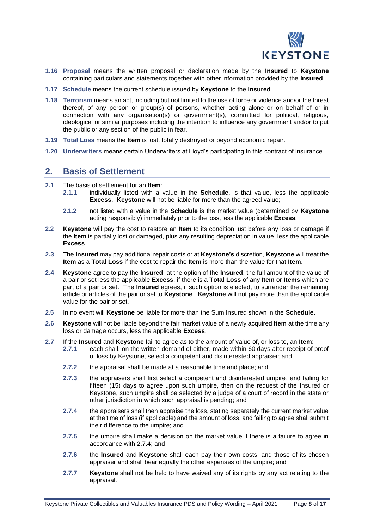

- **1.16 Proposal** means the written proposal or declaration made by the **Insured** to **Keystone** containing particulars and statements together with other information provided by the **Insured**.
- **1.17 Schedule** means the current schedule issued by **Keystone** to the **Insured**.
- **1.18 Terrorism** means an act, including but not limited to the use of force or violence and/or the threat thereof, of any person or group(s) of persons, whether acting alone or on behalf of or in connection with any organisation(s) or government(s), committed for political, religious, ideological or similar purposes including the intention to influence any government and/or to put the public or any section of the public in fear.
- **1.19 Total Loss** means the **Item** is lost, totally destroyed or beyond economic repair.
- <span id="page-7-0"></span>**1.20 Underwriters** means certain Underwriters at Lloyd's participating in this contract of insurance.

## **2. Basis of Settlement**

- **2.1** The basis of settlement for an **Item**:
	- **2.1.1** individually listed with a value in the **Schedule**, is that value, less the applicable **Excess**. **Keystone** will not be liable for more than the agreed value;
	- **2.1.2** not listed with a value in the **Schedule** is the market value (determined by **Keystone** acting responsibly) immediately prior to the loss, less the applicable **Excess**.
- **2.2 Keystone** will pay the cost to restore an **Item** to its condition just before any loss or damage if the **Item** is partially lost or damaged, plus any resulting depreciation in value, less the applicable **Excess**.
- **2.3** The **Insured** may pay additional repair costs or at **Keystone's** discretion, **Keystone** will treat the **Item** as a **Total Loss** if the cost to repair the **Item** is more than the value for that **Item**.
- **2.4 Keystone** agree to pay the **Insured**, at the option of the **Insured**, the full amount of the value of a pair or set less the applicable **Excess**, if there is a **Total Loss** of any **Item** or **Items** which are part of a pair or set. The **Insured** agrees, if such option is elected, to surrender the remaining article or articles of the pair or set to **Keystone**. **Keystone** will not pay more than the applicable value for the pair or set.
- **2.5** In no event will **Keystone** be liable for more than the Sum Insured shown in the **Schedule**.
- **2.6 Keystone** will not be liable beyond the fair market value of a newly acquired **Item** at the time any loss or damage occurs, less the applicable **Excess**.
- **2.7** If the **Insured** and **Keystone** fail to agree as to the amount of value of, or loss to, an **Item**:
	- **2.7.1** each shall, on the written demand of either, made within 60 days after receipt of proof of loss by Keystone, select a competent and disinterested appraiser; and
	- **2.7.2** the appraisal shall be made at a reasonable time and place; and
	- **2.7.3** the appraisers shall first select a competent and disinterested umpire, and failing for fifteen (15) days to agree upon such umpire, then on the request of the Insured or Keystone, such umpire shall be selected by a judge of a court of record in the state or other jurisdiction in which such appraisal is pending; and
	- **2.7.4** the appraisers shall then appraise the loss, stating separately the current market value at the time of loss (if applicable) and the amount of loss, and failing to agree shall submit their difference to the umpire; and
	- **2.7.5** the umpire shall make a decision on the market value if there is a failure to agree in accordance with 2.7.4; and
	- **2.7.6** the **Insured** and **Keystone** shall each pay their own costs, and those of its chosen appraiser and shall bear equally the other expenses of the umpire; and
	- **2.7.7 Keystone** shall not be held to have waived any of its rights by any act relating to the appraisal.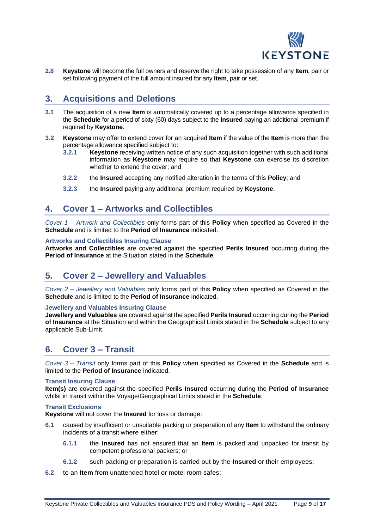

**2.8 Keystone** will become the full owners and reserve the right to take possession of any **Item**, pair or set following payment of the full amount insured for any **Item**, pair or set.

# <span id="page-8-0"></span>**3. Acquisitions and Deletions**

- **3.1** The acquisition of a new **Item** is automatically covered up to a percentage allowance specified in the **Schedule** for a period of sixty (60) days subject to the **Insured** paying an additional premium if required by **Keystone**.
- **3.2 Keystone** may offer to extend cover for an acquired **Item** if the value of the **Item** is more than the percentage allowance specified subject to:
	- **3.2.1 Keystone** receiving written notice of any such acquisition together with such additional information as **Keystone** may require so that **Keystone** can exercise its discretion whether to extend the cover; and
	- **3.2.2** the **Insured** accepting any notified alteration in the terms of this **Policy**; and
	- **3.2.3** the **Insured** paying any additional premium required by **Keystone**.

# <span id="page-8-1"></span>**4. Cover 1 – Artworks and Collectibles**

*Cover 1 – Artwork and Collectibles* only forms part of this **Policy** when specified as Covered in the **Schedule** and is limited to the **Period of Insurance** indicated.

## **Artworks and Collectibles Insuring Clause**

**Artworks and Collectibles** are covered against the specified **Perils Insured** occurring during the **Period of Insurance** at the Situation stated in the **Schedule**.

# <span id="page-8-2"></span>**5. Cover 2 – Jewellery and Valuables**

*Cover 2 – Jewellery and Valuables* only forms part of this **Policy** when specified as Covered in the **Schedule** and is limited to the **Period of Insurance** indicated.

## **Jewellery and Valuables Insuring Clause**

**Jewellery and Valuables** are covered against the specified **Perils Insured** occurring during the **Period of Insurance** at the Situation and within the Geographical Limits stated in the **Schedule** subject to any applicable Sub-Limit.

# <span id="page-8-3"></span>**6. Cover 3 – Transit**

*Cover 3 – Transit* only forms part of this **Policy** when specified as Covered in the **Schedule** and is limited to the **Period of Insurance** indicated.

## **Transit Insuring Clause**

**Item(s)** are covered against the specified **Perils Insured** occurring during the **Period of Insurance** whilst in transit within the Voyage/Geographical Limits stated in the **Schedule**.

## **Transit Exclusions**

**Keystone** will not cover the **Insured** for loss or damage:

- **6.1** caused by insufficient or unsuitable packing or preparation of any **Item** to withstand the ordinary incidents of a transit where either:
	- **6.1.1** the **Insured** has not ensured that an **Item** is packed and unpacked for transit by competent professional packers; or
	- **6.1.2** such packing or preparation is carried out by the **Insured** or their employees;
- **6.2** to an **Item** from unattended hotel or motel room safes;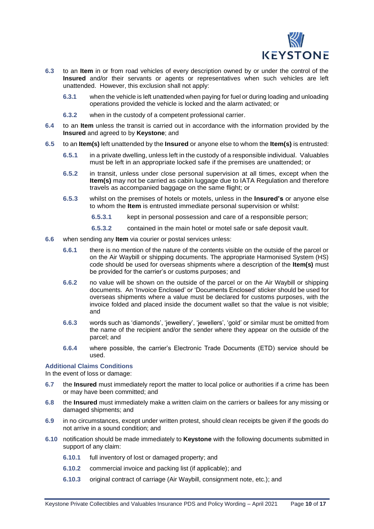

- **6.3** to an **Item** in or from road vehicles of every description owned by or under the control of the **Insured** and/or their servants or agents or representatives when such vehicles are left unattended. However, this exclusion shall not apply:
	- **6.3.1** when the vehicle is left unattended when paying for fuel or during loading and unloading operations provided the vehicle is locked and the alarm activated; or
	- **6.3.2** when in the custody of a competent professional carrier.
- **6.4** to an **Item** unless the transit is carried out in accordance with the information provided by the **Insured** and agreed to by **Keystone**; and
- **6.5** to an **Item(s)** left unattended by the **Insured** or anyone else to whom the **Item(s)** is entrusted:
	- **6.5.1** in a private dwelling, unless left in the custody of a responsible individual. Valuables must be left in an appropriate locked safe if the premises are unattended; or
	- **6.5.2** in transit, unless under close personal supervision at all times, except when the **Item(s)** may not be carried as cabin luggage due to IATA Regulation and therefore travels as accompanied baggage on the same flight; or
	- **6.5.3** whilst on the premises of hotels or motels, unless in the **Insured's** or anyone else to whom the **Item** is entrusted immediate personal supervision or whilst:
		- **6.5.3.1** kept in personal possession and care of a responsible person;
		- **6.5.3.2** contained in the main hotel or motel safe or safe deposit vault.
- **6.6** when sending any **Item** via courier or postal services unless:
	- **6.6.1** there is no mention of the nature of the contents visible on the outside of the parcel or on the Air Waybill or shipping documents. The appropriate Harmonised System (HS) code should be used for overseas shipments where a description of the **Item(s)** must be provided for the carrier's or customs purposes; and
	- **6.6.2** no value will be shown on the outside of the parcel or on the Air Waybill or shipping documents. An 'Invoice Enclosed' or 'Documents Enclosed' sticker should be used for overseas shipments where a value must be declared for customs purposes, with the invoice folded and placed inside the document wallet so that the value is not visible; and
	- **6.6.3** words such as 'diamonds', 'jewellery', 'jewellers', 'gold' or similar must be omitted from the name of the recipient and/or the sender where they appear on the outside of the parcel; and
	- **6.6.4** where possible, the carrier's Electronic Trade Documents (ETD) service should be used.

#### **Additional Claims Conditions**

In the event of loss or damage:

- **6.7** the **Insured** must immediately report the matter to local police or authorities if a crime has been or may have been committed; and
- **6.8** the **Insured** must immediately make a written claim on the carriers or bailees for any missing or damaged shipments; and
- **6.9** in no circumstances, except under written protest, should clean receipts be given if the goods do not arrive in a sound condition; and
- **6.10** notification should be made immediately to **Keystone** with the following documents submitted in support of any claim:
	- **6.10.1** full inventory of lost or damaged property; and
	- **6.10.2** commercial invoice and packing list (if applicable); and
	- **6.10.3** original contract of carriage (Air Waybill, consignment note, etc.); and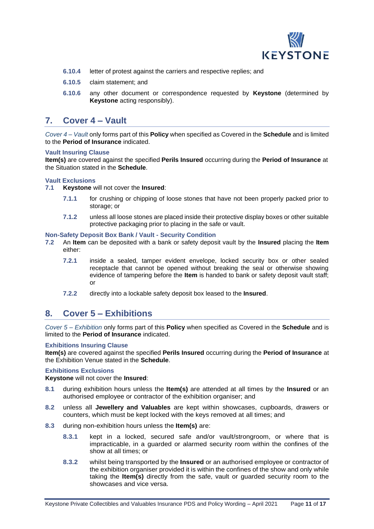

- **6.10.4** letter of protest against the carriers and respective replies; and
- **6.10.5** claim statement; and
- **6.10.6** any other document or correspondence requested by **Keystone** (determined by **Keystone** acting responsibly).

## <span id="page-10-0"></span>**7. Cover 4 – Vault**

*Cover 4 – Vault* only forms part of this **Policy** when specified as Covered in the **Schedule** and is limited to the **Period of Insurance** indicated.

## **Vault Insuring Clause**

**Item(s)** are covered against the specified **Perils Insured** occurring during the **Period of Insurance** at the Situation stated in the **Schedule**.

# **Vault Exclusions**<br>7.1 **Keystone** v

- **7.1 Keystone** will not cover the **Insured**:
	- **7.1.1** for crushing or chipping of loose stones that have not been properly packed prior to storage; or
	- **7.1.2** unless all loose stones are placed inside their protective display boxes or other suitable protective packaging prior to placing in the safe or vault.

# **Non-Safety Deposit Box Bank / Vault - Security Condition**

- **7.2** An **Item** can be deposited with a bank or safety deposit vault by the **Insured** placing the **Item** either:
	- **7.2.1** inside a sealed, tamper evident envelope, locked security box or other sealed receptacle that cannot be opened without breaking the seal or otherwise showing evidence of tampering before the **Item** is handed to bank or safety deposit vault staff; or
	- **7.2.2** directly into a lockable safety deposit box leased to the **Insured**.

# <span id="page-10-1"></span>**8. Cover 5 – Exhibitions**

*Cover 5 – Exhibition* only forms part of this **Policy** when specified as Covered in the **Schedule** and is limited to the **Period of Insurance** indicated.

## **Exhibitions Insuring Clause**

**Item(s)** are covered against the specified **Perils Insured** occurring during the **Period of Insurance** at the Exhibition Venue stated in the **Schedule**.

## **Exhibitions Exclusions**

**Keystone** will not cover the **Insured**:

- **8.1** during exhibition hours unless the **Item(s)** are attended at all times by the **Insured** or an authorised employee or contractor of the exhibition organiser; and
- **8.2** unless all **Jewellery and Valuables** are kept within showcases, cupboards, drawers or counters, which must be kept locked with the keys removed at all times; and
- **8.3** during non-exhibition hours unless the **Item(s)** are:
	- **8.3.1** kept in a locked, secured safe and/or vault/strongroom, or where that is impracticable, in a guarded or alarmed security room within the confines of the show at all times; or
	- **8.3.2** whilst being transported by the **Insured** or an authorised employee or contractor of the exhibition organiser provided it is within the confines of the show and only while taking the **Item(s)** directly from the safe, vault or guarded security room to the showcases and vice versa.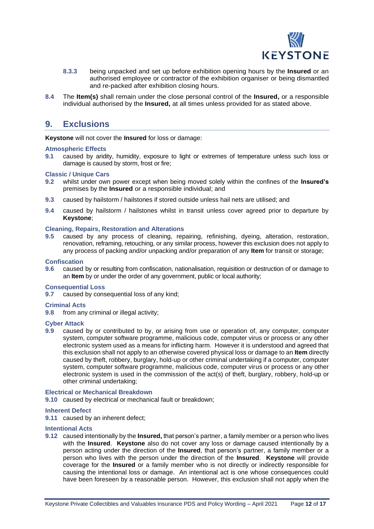

- **8.3.3** being unpacked and set up before exhibition opening hours by the **Insured** or an authorised employee or contractor of the exhibition organiser or being dismantled and re-packed after exhibition closing hours.
- **8.4** The **Item(s)** shall remain under the close personal control of the **Insured,** or a responsible individual authorised by the **Insured,** at all times unless provided for as stated above.

## <span id="page-11-0"></span>**9. Exclusions**

**Keystone** will not cover the **Insured** for loss or damage:

## **Atmospheric Effects**

**9.1** caused by aridity, humidity, exposure to light or extremes of temperature unless such loss or damage is caused by storm, frost or fire;

### **Classic / Unique Cars**

- **9.2** whilst under own power except when being moved solely within the confines of the **Insured's** premises by the **Insured** or a responsible individual; and
- **9.3** caused by hailstorm / hailstones if stored outside unless hail nets are utilised; and
- **9.4** caused by hailstorm / hailstones whilst in transit unless cover agreed prior to departure by **Keystone**;

## **Cleaning, Repairs, Restoration and Alterations**

**9.5** caused by any process of cleaning, repairing, refinishing, dyeing, alteration, restoration, renovation, reframing, retouching, or any similar process, however this exclusion does not apply to any process of packing and/or unpacking and/or preparation of any **Item** for transit or storage;

## **Confiscation**

**9.6** caused by or resulting from confiscation, nationalisation, requisition or destruction of or damage to an **Item** by or under the order of any government, public or local authority;

#### **Consequential Loss**

**9.7** caused by consequential loss of any kind;

#### **Criminal Acts**

**9.8** from any criminal or illegal activity;

#### **Cyber Attack**

**9.9** caused by or contributed to by, or arising from use or operation of, any computer, computer system, computer software programme, malicious code, computer virus or process or any other electronic system used as a means for inflicting harm. However it is understood and agreed that this exclusion shall not apply to an otherwise covered physical loss or damage to an **Item** directly caused by theft, robbery, burglary, hold-up or other criminal undertaking if a computer, computer system, computer software programme, malicious code, computer virus or process or any other electronic system is used in the commission of the act(s) of theft, burglary, robbery, hold-up or other criminal undertaking;

## **Electrical or Mechanical Breakdown**

**9.10** caused by electrical or mechanical fault or breakdown;

#### **Inherent Defect**

**9.11** caused by an inherent defect;

### **Intentional Acts**

**9.12** caused intentionally by the **Insured,** that person's partner, a family member or a person who lives with the **Insured**. **Keystone** also do not cover any loss or damage caused intentionally by a person acting under the direction of the **Insured**, that person's partner, a family member or a person who lives with the person under the direction of the **Insured**. **Keystone** will provide coverage for the **Insured** or a family member who is not directly or indirectly responsible for causing the intentional loss or damage. An intentional act is one whose consequences could have been foreseen by a reasonable person. However, this exclusion shall not apply when the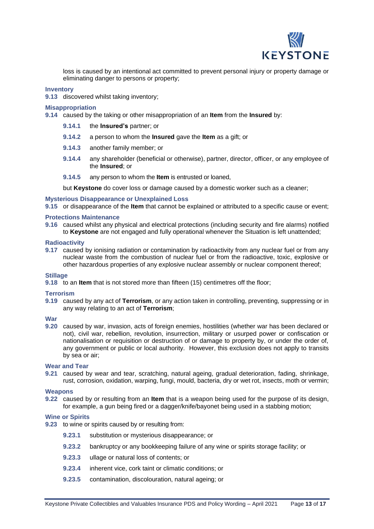

loss is caused by an intentional act committed to prevent personal injury or property damage or eliminating danger to persons or property;

## **Inventory**

**9.13** discovered whilst taking inventory;

## **Misappropriation**

**9.14** caused by the taking or other misappropriation of an **Item** from the **Insured** by:

- **9.14.1** the **Insured's** partner; or
- **9.14.2** a person to whom the **Insured** gave the **Item** as a gift; or
- **9.14.3** another family member; or
- **9.14.4** any shareholder (beneficial or otherwise), partner, director, officer, or any employee of the **Insured**; or
- **9.14.5** any person to whom the **Item** is entrusted or loaned,

but **Keystone** do cover loss or damage caused by a domestic worker such as a cleaner;

#### **Mysterious Disappearance or Unexplained Loss**

**9.15** or disappearance of the **Item** that cannot be explained or attributed to a specific cause or event;

## **Protections Maintenance**

**9.16** caused whilst any physical and electrical protections (including security and fire alarms) notified to **Keystone** are not engaged and fully operational whenever the Situation is left unattended;

#### **Radioactivity**

**9.17** caused by ionising radiation or contamination by radioactivity from any nuclear fuel or from any nuclear waste from the combustion of nuclear fuel or from the radioactive, toxic, explosive or other hazardous properties of any explosive nuclear assembly or nuclear component thereof;

## **Stillage**

**9.18** to an **Item** that is not stored more than fifteen (15) centimetres off the floor;

#### **Terrorism**

**9.19** caused by any act of **Terrorism**, or any action taken in controlling, preventing, suppressing or in any way relating to an act of **Terrorism**;

### **War**

**9.20** caused by war, invasion, acts of foreign enemies, hostilities (whether war has been declared or not), civil war, rebellion, revolution, insurrection, military or usurped power or confiscation or nationalisation or requisition or destruction of or damage to property by, or under the order of, any government or public or local authority. However, this exclusion does not apply to transits by sea or air;

#### **Wear and Tear**

**9.21** caused by wear and tear, scratching, natural ageing, gradual deterioration, fading, shrinkage, rust, corrosion, oxidation, warping, fungi, mould, bacteria, dry or wet rot, insects, moth or vermin;

#### **Weapons**

**9.22** caused by or resulting from an **Item** that is a weapon being used for the purpose of its design, for example, a gun being fired or a dagger/knife/bayonet being used in a stabbing motion;

## **Wine or Spirits**

- **9.23** to wine or spirits caused by or resulting from:
	- **9.23.1** substitution or mysterious disappearance; or
	- **9.23.2** bankruptcy or any bookkeeping failure of any wine or spirits storage facility; or
	- **9.23.3** ullage or natural loss of contents; or
	- **9.23.4** inherent vice, cork taint or climatic conditions; or
	- **9.23.5** contamination, discolouration, natural ageing; or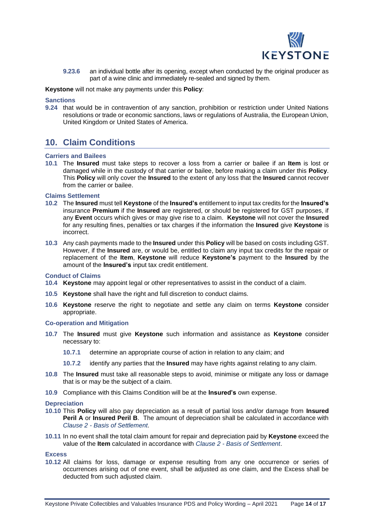

**9.23.6** an individual bottle after its opening, except when conducted by the original producer as part of a wine clinic and immediately re-sealed and signed by them.

**Keystone** will not make any payments under this **Policy**:

### **Sanctions**

**9.24** that would be in contravention of any sanction, prohibition or restriction under United Nations resolutions or trade or economic sanctions, laws or regulations of Australia, the European Union, United Kingdom or United States of America.

# <span id="page-13-0"></span>**10. Claim Conditions**

## **Carriers and Bailees**

**10.1** The **Insured** must take steps to recover a loss from a carrier or bailee if an **Item** is lost or damaged while in the custody of that carrier or bailee, before making a claim under this **Policy**. This **Policy** will only cover the **Insured** to the extent of any loss that the **Insured** cannot recover from the carrier or bailee.

### **Claims Settlement**

- **10.2** The **Insured** must tell **Keystone** of the **Insured's** entitlement to input tax credits for the **Insured's** insurance **Premium** if the **Insured** are registered, or should be registered for GST purposes, if any **Event** occurs which gives or may give rise to a claim. **Keystone** will not cover the **Insured** for any resulting fines, penalties or tax charges if the information the **Insured** give **Keystone** is incorrect.
- **10.3** Any cash payments made to the **Insured** under this **Policy** will be based on costs including GST. However, if the **Insured** are, or would be, entitled to claim any input tax credits for the repair or replacement of the **Item**, **Keystone** will reduce **Keystone's** payment to the **Insured** by the amount of the **Insured's** input tax credit entitlement.

#### **Conduct of Claims**

- **10.4 Keystone** may appoint legal or other representatives to assist in the conduct of a claim.
- **10.5 Keystone** shall have the right and full discretion to conduct claims.
- **10.6 Keystone** reserve the right to negotiate and settle any claim on terms **Keystone** consider appropriate.

#### **Co-operation and Mitigation**

- **10.7** The **Insured** must give **Keystone** such information and assistance as **Keystone** consider necessary to:
	- **10.7.1** determine an appropriate course of action in relation to any claim; and
	- **10.7.2** identify any parties that the **Insured** may have rights against relating to any claim.
- **10.8** The **Insured** must take all reasonable steps to avoid, minimise or mitigate any loss or damage that is or may be the subject of a claim.
- **10.9** Compliance with this Claims Condition will be at the **Insured's** own expense.

#### **Depreciation**

- **10.10** This **Policy** will also pay depreciation as a result of partial loss and/or damage from **Insured Peril A** or **Insured Peril B**. The amount of depreciation shall be calculated in accordance with *Clause 2 - Basis of Settlement*.
- **10.11** In no event shall the total claim amount for repair and depreciation paid by **Keystone** exceed the value of the **Item** calculated in accordance with *Clause 2 - Basis of Settlement*.

#### **Excess**

**10.12** All claims for loss, damage or expense resulting from any one occurrence or series of occurrences arising out of one event, shall be adjusted as one claim, and the Excess shall be deducted from such adjusted claim.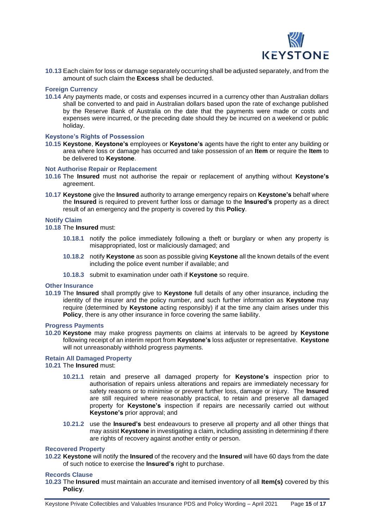

10.13 Each claim for loss or damage separately occurring shall be adjusted separately, and from the amount of such claim the **Excess** shall be deducted.

### **Foreign Currency**

**10.14** Any payments made, or costs and expenses incurred in a currency other than Australian dollars shall be converted to and paid in Australian dollars based upon the rate of exchange published by the Reserve Bank of Australia on the date that the payments were made or costs and expenses were incurred, or the preceding date should they be incurred on a weekend or public holiday.

### **Keystone's Rights of Possession**

**10.15 Keystone**, **Keystone's** employees or **Keystone's** agents have the right to enter any building or area where loss or damage has occurred and take possession of an **Item** or require the **Item** to be delivered to **Keystone**.

### **Not Authorise Repair or Replacement**

- **10.16** The **Insured** must not authorise the repair or replacement of anything without **Keystone's** agreement.
- **10.17 Keystone** give the **Insured** authority to arrange emergency repairs on **Keystone's** behalf where the **Insured** is required to prevent further loss or damage to the **Insured's** property as a direct result of an emergency and the property is covered by this **Policy**.

## **Notify Claim**

**10.18** The **Insured** must:

- **10.18.1** notify the police immediately following a theft or burglary or when any property is misappropriated, lost or maliciously damaged; and
- **10.18.2** notify **Keystone** as soon as possible giving **Keystone** all the known details of the event including the police event number if available; and
- **10.18.3** submit to examination under oath if **Keystone** so require.

## **Other Insurance**

**10.19** The **Insured** shall promptly give to **Keystone** full details of any other insurance, including the identity of the insurer and the policy number, and such further information as **Keystone** may require (determined by **Keystone** acting responsibly) if at the time any claim arises under this **Policy**, there is any other insurance in force covering the same liability.

#### **Progress Payments**

**10.20 Keystone** may make progress payments on claims at intervals to be agreed by **Keystone** following receipt of an interim report from **Keystone's** loss adjuster or representative. **Keystone** will not unreasonably withhold progress payments.

## **Retain All Damaged Property**

**10.21** The **Insured** must:

- **10.21.1** retain and preserve all damaged property for **Keystone's** inspection prior to authorisation of repairs unless alterations and repairs are immediately necessary for safety reasons or to minimise or prevent further loss, damage or injury. The **Insured** are still required where reasonably practical, to retain and preserve all damaged property for **Keystone's** inspection if repairs are necessarily carried out without **Keystone's** prior approval; and
- **10.21.2** use the **Insured's** best endeavours to preserve all property and all other things that may assist **Keystone** in investigating a claim, including assisting in determining if there are rights of recovery against another entity or person.

#### **Recovered Property**

**10.22 Keystone** will notify the **Insured** of the recovery and the **Insured** will have 60 days from the date of such notice to exercise the **Insured's** right to purchase.

#### **Records Clause**

**10.23** The **Insured** must maintain an accurate and itemised inventory of all **Item(s)** covered by this **Policy**.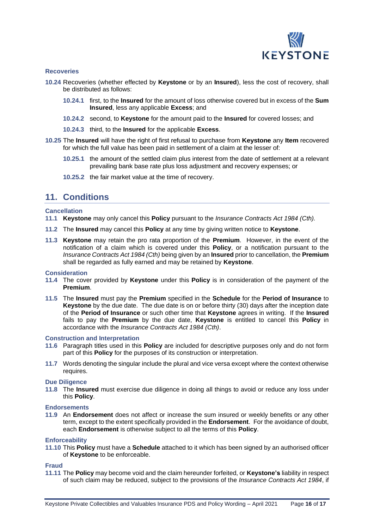

## **Recoveries**

- **10.24** Recoveries (whether effected by **Keystone** or by an **Insured**), less the cost of recovery, shall be distributed as follows:
	- **10.24.1** first, to the **Insured** for the amount of loss otherwise covered but in excess of the **Sum Insured**, less any applicable **Excess**; and
	- **10.24.2** second, to **Keystone** for the amount paid to the **Insured** for covered losses; and
	- **10.24.3** third, to the **Insured** for the applicable **Excess**.
- **10.25** The **Insured** will have the right of first refusal to purchase from **Keystone** any **Item** recovered for which the full value has been paid in settlement of a claim at the lesser of:
	- **10.25.1** the amount of the settled claim plus interest from the date of settlement at a relevant prevailing bank base rate plus loss adjustment and recovery expenses; or
	- **10.25.2** the fair market value at the time of recovery.

## <span id="page-15-0"></span>**11. Conditions**

## **Cancellation**

- **11.1 Keystone** may only cancel this **Policy** pursuant to the *Insurance Contracts Act 1984 (Cth).*
- **11.2** The **Insured** may cancel this **Policy** at any time by giving written notice to **Keystone**.
- **11.3 Keystone** may retain the pro rata proportion of the **Premium**. However, in the event of the notification of a claim which is covered under this **Policy**, or a notification pursuant to the *Insurance Contracts Act 1984 (Cth)* being given by an **Insured** prior to cancellation, the **Premium** shall be regarded as fully earned and may be retained by **Keystone**.

## **Consideration**

- **11.4** The cover provided by **Keystone** under this **Policy** is in consideration of the payment of the **Premium**.
- **11.5** The **Insured** must pay the **Premium** specified in the **Schedule** for the **Period of Insurance** to **Keystone** by the due date. The due date is on or before thirty (30) days after the inception date of the **Period of Insurance** or such other time that **Keystone** agrees in writing. If the **Insured** fails to pay the **Premium** by the due date, **Keystone** is entitled to cancel this **Policy** in accordance with the *Insurance Contracts Act 1984 (Cth)*.

#### **Construction and Interpretation**

- **11.6** Paragraph titles used in this **Policy** are included for descriptive purposes only and do not form part of this **Policy** for the purposes of its construction or interpretation.
- **11.7** Words denoting the singular include the plural and vice versa except where the context otherwise requires.

#### **Due Diligence**

**11.8** The **Insured** must exercise due diligence in doing all things to avoid or reduce any loss under this **Policy**.

#### **Endorsements**

**11.9** An **Endorsement** does not affect or increase the sum insured or weekly benefits or any other term, except to the extent specifically provided in the **Endorsement**. For the avoidance of doubt, each **Endorsement** is otherwise subject to all the terms of this **Policy**.

## **Enforceability**

**11.10** This **Policy** must have a **Schedule** attached to it which has been signed by an authorised officer of **Keystone** to be enforceable.

## **Fraud**

**11.11** The **Policy** may become void and the claim hereunder forfeited, or **Keystone's** liability in respect of such claim may be reduced, subject to the provisions of the *Insurance Contracts Act 1984*, if